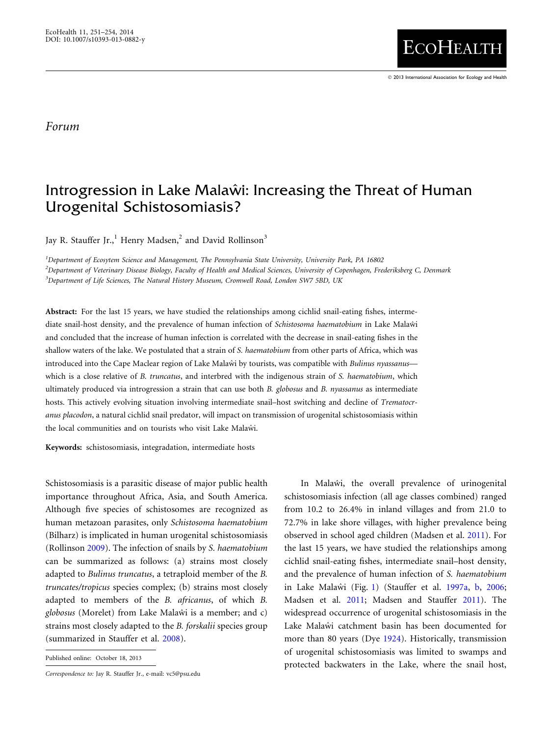## Forum

## Introgression in Lake Malaŵi: Increasing the Threat of Human Urogenital Schistosomiasis?

Jay R. Stauffer Jr.,<sup>1</sup> Henry Madsen,<sup>2</sup> and David Rollinson<sup>3</sup>

1 Department of Ecosytem Science and Management, The Pennsylvania State University, University Park, PA 16802 2 Department of Veterinary Disease Biology, Faculty of Health and Medical Sciences, University of Copenhagen, Frederiksberg C, Denmark <sup>3</sup>Department of Life Sciences, The Natural History Museum, Cromwell Road, London SW7 5BD, UK

Abstract: For the last 15 years, we have studied the relationships among cichlid snail-eating fishes, intermediate snail-host density, and the prevalence of human infection of Schistosoma haematobium in Lake Malaŵi and concluded that the increase of human infection is correlated with the decrease in snail-eating fishes in the shallow waters of the lake. We postulated that a strain of S. haematobium from other parts of Africa, which was introduced into the Cape Maclear region of Lake Malawı by tourists, was compatible with Bulinus nyassanus which is a close relative of B. truncatus, and interbred with the indigenous strain of S. haematobium, which ultimately produced via introgression a strain that can use both B. globosus and B. nyassanus as intermediate hosts. This actively evolving situation involving intermediate snail-host switching and decline of Trematocranus placodon, a natural cichlid snail predator, will impact on transmission of urogenital schistosomiasis within the local communities and on tourists who visit Lake Malawi.

Keywords: schistosomiasis, integradation, intermediate hosts

Schistosomiasis is a parasitic disease of major public health importance throughout Africa, Asia, and South America. Although five species of schistosomes are recognized as human metazoan parasites, only Schistosoma haematobium (Bilharz) is implicated in human urogenital schistosomiasis (Rollinson [2009\)](#page-3-0). The infection of snails by S. haematobium can be summarized as follows: (a) strains most closely adapted to Bulinus truncatus, a tetraploid member of the B. truncates/tropicus species complex; (b) strains most closely adapted to members of the B. africanus, of which B. globosus (Morelet) from Lake Malaŵi is a member; and c) strains most closely adapted to the B. forskalii species group (summarized in Stauffer et al. [2008\)](#page-3-0).

In Malawi, the overall prevalence of urinogenital schistosomiasis infection (all age classes combined) ranged from 10.2 to 26.4% in inland villages and from 21.0 to 72.7% in lake shore villages, with higher prevalence being observed in school aged children (Madsen et al. [2011](#page-3-0)). For the last 15 years, we have studied the relationships among cichlid snail-eating fishes, intermediate snail–host density, and the prevalence of human infection of S. haematobium in Lake Malaŵi (Fig. [1](#page-1-0)) (Stauffer et al. [1997a](#page-3-0), [b](#page-3-0), [2006;](#page-3-0) Madsen et al. [2011](#page-3-0); Madsen and Stauffer [2011](#page-3-0)). The widespread occurrence of urogenital schistosomiasis in the Lake Malawi catchment basin has been documented for more than 80 years (Dye [1924](#page-3-0)). Historically, transmission of urogenital schistosomiasis was limited to swamps and Published online: October 18, 2013<br>
protected backwaters in the Lake, where the snail host,

Correspondence to: Jay R. Stauffer Jr., e-mail: vc5@psu.edu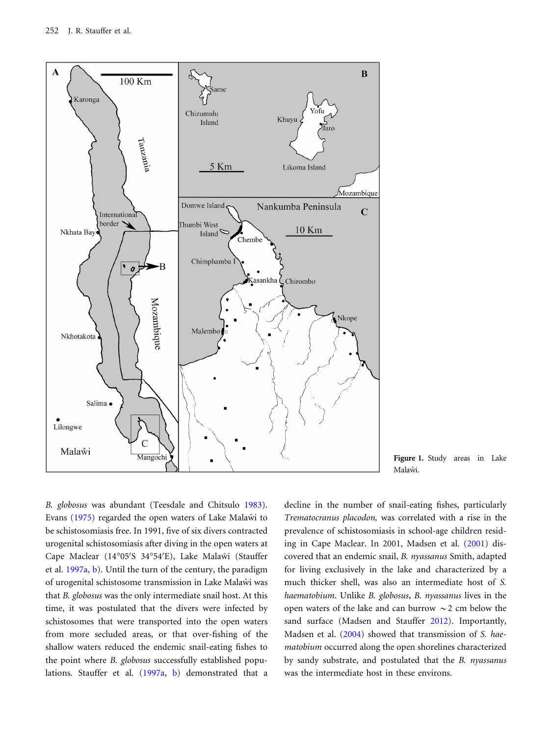<span id="page-1-0"></span>



B. globosus was abundant (Teesdale and Chitsulo [1983\)](#page-3-0). Evans [\(1975\)](#page-3-0) regarded the open waters of Lake Malaŵi to be schistosomiasis free. In 1991, five of six divers contracted urogenital schistosomiasis after diving in the open waters at Cape Maclear (14°05'S 34°54'E), Lake Malaŵi (Stauffer et al. [1997a](#page-3-0), [b\)](#page-3-0). Until the turn of the century, the paradigm of urogenital schistosome transmission in Lake Malaŵi was that B. globosus was the only intermediate snail host. At this time, it was postulated that the divers were infected by schistosomes that were transported into the open waters from more secluded areas, or that over-fishing of the shallow waters reduced the endemic snail-eating fishes to the point where B. globosus successfully established populations. Stauffer et al. ([1997a](#page-3-0), [b\)](#page-3-0) demonstrated that a

decline in the number of snail-eating fishes, particularly Trematocranus placodon, was correlated with a rise in the prevalence of schistosomiasis in school-age children residing in Cape Maclear. In 2001, Madsen et al. ([2001\)](#page-3-0) discovered that an endemic snail, B. nyassanus Smith, adapted for living exclusively in the lake and characterized by a much thicker shell, was also an intermediate host of S. haematobium. Unlike B. globosus, B. nyassanus lives in the open waters of the lake and can burrow  $\sim$  2 cm below the sand surface (Madsen and Stauffer [2012](#page-3-0)). Importantly, Madsen et al. [\(2004](#page-3-0)) showed that transmission of S. haematobium occurred along the open shorelines characterized by sandy substrate, and postulated that the B. nyassanus was the intermediate host in these environs.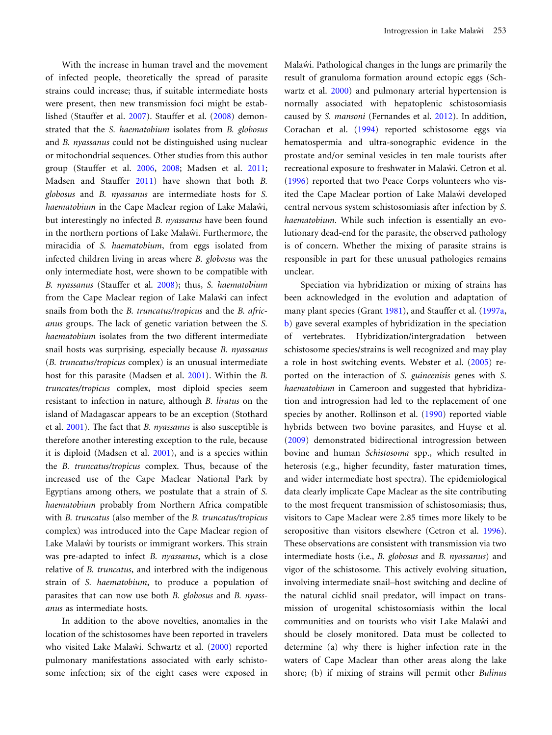With the increase in human travel and the movement of infected people, theoretically the spread of parasite strains could increase; thus, if suitable intermediate hosts were present, then new transmission foci might be established (Stauffer et al. [2007\)](#page-3-0). Stauffer et al. ([2008\)](#page-3-0) demonstrated that the S. haematobium isolates from B. globosus and B. nyassanus could not be distinguished using nuclear or mitochondrial sequences. Other studies from this author group (Stauffer et al. [2006](#page-3-0), [2008](#page-3-0); Madsen et al. [2011;](#page-3-0) Madsen and Stauffer [2011](#page-3-0)) have shown that both B. globosus and B. nyassanus are intermediate hosts for S. haematobium in the Cape Maclear region of Lake Malawi, but interestingly no infected B. nyassanus have been found in the northern portions of Lake Malawi. Furthermore, the miracidia of S. haematobium, from eggs isolated from infected children living in areas where B. globosus was the only intermediate host, were shown to be compatible with B. nyassanus (Stauffer et al. [2008](#page-3-0)); thus, S. haematobium from the Cape Maclear region of Lake Malawi can infect snails from both the B. truncatus/tropicus and the B. africanus groups. The lack of genetic variation between the S. haematobium isolates from the two different intermediate snail hosts was surprising, especially because B. nyassanus (B. truncatus/tropicus complex) is an unusual intermediate host for this parasite (Madsen et al. [2001](#page-3-0)). Within the B. truncates/tropicus complex, most diploid species seem resistant to infection in nature, although B. liratus on the island of Madagascar appears to be an exception (Stothard et al. [2001](#page-3-0)). The fact that B. nyassanus is also susceptible is therefore another interesting exception to the rule, because it is diploid (Madsen et al. [2001\)](#page-3-0), and is a species within the B. truncatus/tropicus complex. Thus, because of the increased use of the Cape Maclear National Park by Egyptians among others, we postulate that a strain of S. haematobium probably from Northern Africa compatible with B. truncatus (also member of the B. truncatus/tropicus complex) was introduced into the Cape Maclear region of Lake Malaŵi by tourists or immigrant workers. This strain was pre-adapted to infect B. nyassanus, which is a close relative of B. truncatus, and interbred with the indigenous strain of S. haematobium, to produce a population of parasites that can now use both B. globosus and B. nyassanus as intermediate hosts.

In addition to the above novelties, anomalies in the location of the schistosomes have been reported in travelers who visited Lake Malaŵi. Schwartz et al. ([2000\)](#page-3-0) reported pulmonary manifestations associated with early schistosome infection; six of the eight cases were exposed in

Malaw<sup>i</sup>. Pathological changes in the lungs are primarily the result of granuloma formation around ectopic eggs (Schwartz et al. [2000](#page-3-0)) and pulmonary arterial hypertension is normally associated with hepatoplenic schistosomiasis caused by S. mansoni (Fernandes et al. [2012\)](#page-3-0). In addition, Corachan et al. ([1994\)](#page-3-0) reported schistosome eggs via hematospermia and ultra-sonographic evidence in the prostate and/or seminal vesicles in ten male tourists after recreational exposure to freshwater in Malaŵi. Cetron et al. ([1996\)](#page-3-0) reported that two Peace Corps volunteers who visited the Cape Maclear portion of Lake Malawi developed central nervous system schistosomiasis after infection by S. haematobium. While such infection is essentially an evolutionary dead-end for the parasite, the observed pathology is of concern. Whether the mixing of parasite strains is responsible in part for these unusual pathologies remains unclear.

Speciation via hybridization or mixing of strains has been acknowledged in the evolution and adaptation of many plant species (Grant [1981](#page-3-0)), and Stauffer et al. [\(1997a,](#page-3-0) [b](#page-3-0)) gave several examples of hybridization in the speciation of vertebrates. Hybridization/intergradation between schistosome species/strains is well recognized and may play a role in host switching events. Webster et al. ([2005\)](#page-3-0) reported on the interaction of S. guineenisis genes with S. haematobium in Cameroon and suggested that hybridization and introgression had led to the replacement of one species by another. Rollinson et al. [\(1990](#page-3-0)) reported viable hybrids between two bovine parasites, and Huyse et al. ([2009\)](#page-3-0) demonstrated bidirectional introgression between bovine and human Schistosoma spp., which resulted in heterosis (e.g., higher fecundity, faster maturation times, and wider intermediate host spectra). The epidemiological data clearly implicate Cape Maclear as the site contributing to the most frequent transmission of schistosomiasis; thus, visitors to Cape Maclear were 2.85 times more likely to be seropositive than visitors elsewhere (Cetron et al. [1996\)](#page-3-0). These observations are consistent with transmission via two intermediate hosts (i.e., B. globosus and B. nyassanus) and vigor of the schistosome. This actively evolving situation, involving intermediate snail–host switching and decline of the natural cichlid snail predator, will impact on transmission of urogenital schistosomiasis within the local communities and on tourists who visit Lake Malaŵi and should be closely monitored. Data must be collected to determine (a) why there is higher infection rate in the waters of Cape Maclear than other areas along the lake shore; (b) if mixing of strains will permit other Bulinus